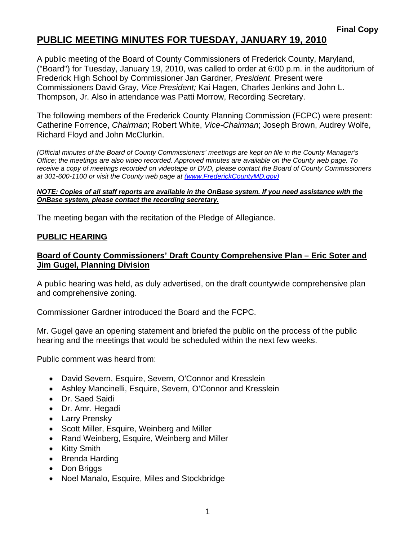### **PUBLIC MEETING MINUTES FOR TUESDAY, JANUARY 19, 2010**

A public meeting of the Board of County Commissioners of Frederick County, Maryland, ("Board") for Tuesday, January 19, 2010, was called to order at 6:00 p.m. in the auditorium of Frederick High School by Commissioner Jan Gardner, *President*. Present were Commissioners David Gray, *Vice President;* Kai Hagen, Charles Jenkins and John L. Thompson, Jr. Also in attendance was Patti Morrow, Recording Secretary.

The following members of the Frederick County Planning Commission (FCPC) were present: Catherine Forrence, *Chairman*; Robert White, *Vice-Chairman*; Joseph Brown, Audrey Wolfe, Richard Floyd and John McClurkin.

*(Official minutes of the Board of County Commissioners' meetings are kept on file in the County Manager's Office; the meetings are also video recorded. Approved minutes are available on the County web page. To receive a copy of meetings recorded on videotape or DVD, please contact the Board of County Commissioners at 301-600-1100 or visit the County web page at (www.FrederickCountyMD.gov)*

#### *NOTE: Copies of all staff reports are available in the OnBase system. If you need assistance with the OnBase system, please contact the recording secretary.*

The meeting began with the recitation of the Pledge of Allegiance.

#### **PUBLIC HEARING**

### **Board of County Commissioners' Draft County Comprehensive Plan – Eric Soter and Jim Gugel, Planning Division**

A public hearing was held, as duly advertised, on the draft countywide comprehensive plan and comprehensive zoning.

Commissioner Gardner introduced the Board and the FCPC.

Mr. Gugel gave an opening statement and briefed the public on the process of the public hearing and the meetings that would be scheduled within the next few weeks.

Public comment was heard from:

- David Severn, Esquire, Severn, O'Connor and Kresslein
- Ashley Mancinelli, Esquire, Severn, O'Connor and Kresslein
- Dr. Saed Saidi
- Dr. Amr. Hegadi
- Larry Prensky
- Scott Miller, Esquire, Weinberg and Miller
- Rand Weinberg, Esquire, Weinberg and Miller
- Kitty Smith
- Brenda Harding
- Don Briggs
- Noel Manalo, Esquire, Miles and Stockbridge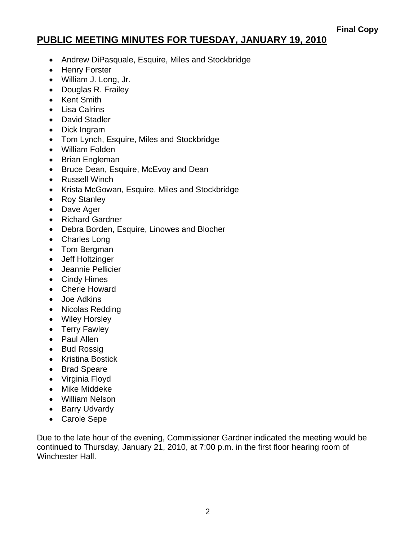## **PUBLIC MEETING MINUTES FOR TUESDAY, JANUARY 19, 2010**

- Andrew DiPasquale, Esquire, Miles and Stockbridge
- Henry Forster
- William J. Long, Jr.
- Douglas R. Frailey
- Kent Smith
- Lisa Calrins
- David Stadler
- Dick Ingram
- Tom Lynch, Esquire, Miles and Stockbridge
- William Folden
- Brian Engleman
- Bruce Dean, Esquire, McEvoy and Dean
- Russell Winch
- Krista McGowan, Esquire, Miles and Stockbridge
- Roy Stanley
- Dave Ager
- Richard Gardner
- Debra Borden, Esquire, Linowes and Blocher
- Charles Long
- Tom Bergman
- Jeff Holtzinger
- Jeannie Pellicier
- Cindy Himes
- Cherie Howard
- Joe Adkins
- Nicolas Redding
- Wiley Horsley
- Terry Fawley
- Paul Allen
- Bud Rossig
- Kristina Bostick
- Brad Speare
- Virginia Floyd
- Mike Middeke
- William Nelson
- Barry Udvardy
- Carole Sepe

Due to the late hour of the evening, Commissioner Gardner indicated the meeting would be continued to Thursday, January 21, 2010, at 7:00 p.m. in the first floor hearing room of Winchester Hall.